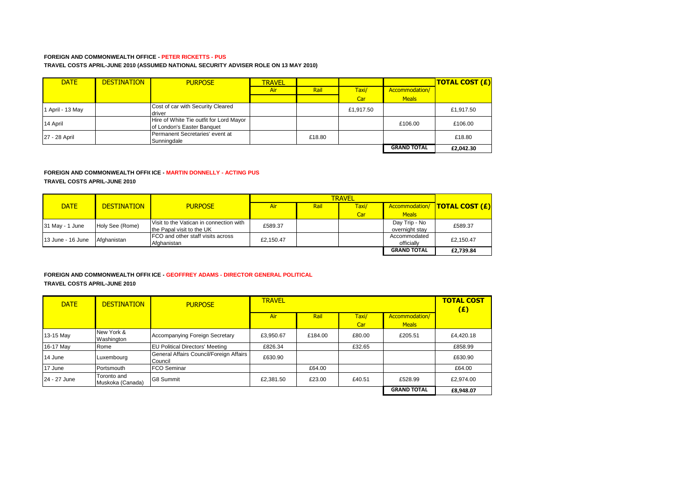### **FOREIGN AND COMMONWEALTH OFFICE - PETER RICKETTS - PUS TRAVEL COSTS APRIL-JUNE 2010 (ASSUMED NATIONAL SECURITY ADVISER ROLE ON 13 MAY 2010)**

| <b>DATE</b>    | <b>DESTINATION</b> | <b>PURPOSE</b>                                                        | <b>TRAVEL</b> |        |           |                    | <b>TOTAL COST (£)</b> |
|----------------|--------------------|-----------------------------------------------------------------------|---------------|--------|-----------|--------------------|-----------------------|
|                |                    |                                                                       | Air           | Rail   | Taxi/     | Accommodation/     |                       |
|                |                    |                                                                       |               |        | Car       | <b>Meals</b>       |                       |
| April - 13 May |                    | Cost of car with Security Cleared<br>driver                           |               |        | £1.917.50 |                    | £1,917.50             |
| 14 April       |                    | Hire of White Tie outfit for Lord Mayor<br>of London's Easter Banquet |               |        |           | £106.00            | £106.00               |
| 27 - 28 April  |                    | Permanent Secretaries' event at<br>Sunningdale                        |               | £18.80 |           |                    | £18.80                |
|                |                    |                                                                       |               |        |           | <b>GRAND TOTAL</b> | £2,042.30             |

#### **FOREIGN AND COMMONWEALTH OFFICICE - MARTIN DONNELLY - ACTING PUS**

**TRAVEL COSTS APRIL-JUNE 2010**

|                   |                    |                                         |           | <b>TRAVEL</b> |       |                    |                                |  |
|-------------------|--------------------|-----------------------------------------|-----------|---------------|-------|--------------------|--------------------------------|--|
| <b>DATE</b>       | <b>DESTINATION</b> | <b>PURPOSE</b>                          | Air       | Rail          | Taxi/ |                    | Accommodation/  TOTAL COST (£) |  |
|                   |                    |                                         |           |               | Car   | <b>Meals</b>       |                                |  |
| 31 May - 1 June   | Holy See (Rome)    | Visit to the Vatican in connection with | £589.37   |               |       | Day Trip - No      | £589.37                        |  |
|                   |                    | the Papal visit to the UK               |           |               |       | overnight stay     |                                |  |
| 13 June - 16 June | Afghanistan        | FCO and other staff visits across       | £2.150.47 |               |       | Accommodated       | £2.150.47                      |  |
|                   |                    | Afghanistan                             |           |               |       | officially         |                                |  |
|                   |                    |                                         |           |               |       | <b>GRAND TOTAL</b> | £2,739.84                      |  |

#### **FOREIGN AND COMMONWEALTH OFFILICE - GEOFFREY ADAMS - DIRECTOR GENERAL POLITICAL TRAVEL COSTS APRIL-JUNE 2010**

| <b>DATE</b>  | <b>DESTINATION</b>              | <b>PURPOSE</b>                                     | <b>TRAVEL</b> |         |              |                                | <b>TOTAL COST</b><br>(E) |
|--------------|---------------------------------|----------------------------------------------------|---------------|---------|--------------|--------------------------------|--------------------------|
|              |                                 |                                                    | Air           | Rail    | Taxi/<br>Car | Accommodation/<br><b>Meals</b> |                          |
| 13-15 May    | New York &<br>Washington        | Accompanying Foreign Secretary                     | £3.950.67     | £184.00 | £80.00       | £205.51                        | £4.420.18                |
| 16-17 May    | Rome                            | <b>EU Political Directors' Meeting</b>             | £826.34       |         | £32.65       |                                | £858.99                  |
| 14 June      | Luxembourg                      | General Affairs Council/Foreign Affairs<br>Council | £630.90       |         |              |                                | £630.90                  |
| 17 June      | Portsmouth                      | <b>FCO Seminar</b>                                 |               | £64.00  |              |                                | £64.00                   |
| 24 - 27 June | Toronto and<br>Muskoka (Canada) | <b>G8 Summit</b>                                   | £2,381.50     | £23.00  | £40.51       | £528.99                        | £2.974.00                |
|              |                                 |                                                    |               |         |              | <b>GRAND TOTAL</b>             | £8,948.07                |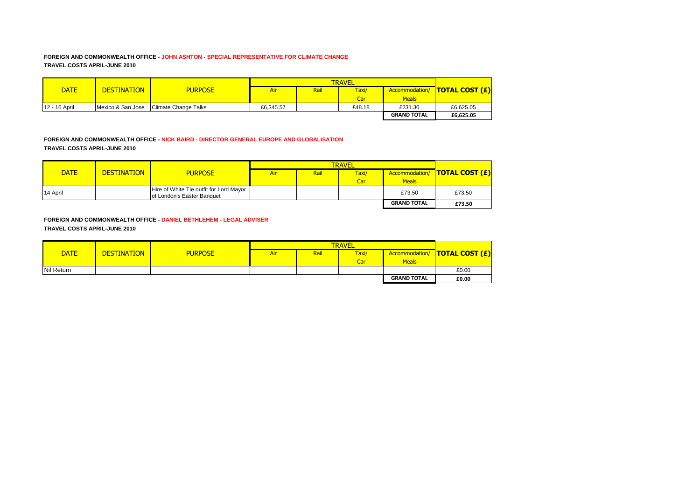### **FOREIGN AND COMMONWEALTH OFFICE - JOHN ASHTON - SPECIAL REPRESENTATIVE FOR CLIMATE CHANGE TRAVEL COSTS APRIL-JUNE 2010**

|               |                    |                             |           |      | <b>TRAVEL</b> |                    |                                |
|---------------|--------------------|-----------------------------|-----------|------|---------------|--------------------|--------------------------------|
| <b>DATE</b>   | <b>DESTINATION</b> | <b>PURPOSE</b>              | Air       | Rail | Taxi/         |                    | Accommodation/  TOTAL COST (£) |
|               |                    |                             |           |      | Car           | <b>Meals</b>       |                                |
| 12 - 16 April | Mexico & San Jose  | <b>Climate Change Talks</b> | £6.345.57 |      | £48.18        | £231.30            | £6.625.05                      |
|               |                    |                             |           |      |               | <b>GRAND TOTAL</b> | £6,625.05                      |

### **FOREIGN AND COMMONWEALTH OFFICE - NICK BAIRD - DIRECTOR GENERAL EUROPE AND GLOBALISATION TRAVEL COSTS APRIL-JUNE 2010**

| <b>DATE</b> | <b>DESTINATION</b> | <b>PURPOSE</b>                                                        | <b>Air</b> | Rail | Taxi/ |                    | Accommodation/   TOTAL COST (£) |
|-------------|--------------------|-----------------------------------------------------------------------|------------|------|-------|--------------------|---------------------------------|
|             |                    |                                                                       |            |      | Car   | <b>Meals</b>       |                                 |
| 14 April    |                    | Hire of White Tie outfit for Lord Mayor<br>of London's Easter Banquet |            |      |       | £73.50             | £73.50                          |
|             |                    |                                                                       |            |      |       | <b>GRAND TOTAL</b> | £73.50                          |

**FOREIGN AND COMMONWEALTH OFFICE - DANIEL BETHLEHEM - LEGAL ADVISER TRAVEL COSTS APRIL-JUNE 2010**

|             |                    |                |     |      | <b>TRAVEL</b> |                    |                                 |
|-------------|--------------------|----------------|-----|------|---------------|--------------------|---------------------------------|
| <b>DATE</b> | <b>DESTINATION</b> | <b>PURPOSE</b> | Air | Rail | Taxi/         |                    | Accommodation/   TOTAL COST (£) |
|             |                    |                |     |      | Car           | <b>Meals</b>       |                                 |
| Nil Return  |                    |                |     |      |               |                    | £0.00                           |
|             |                    |                |     |      |               | <b>GRAND TOTAL</b> | £0.00                           |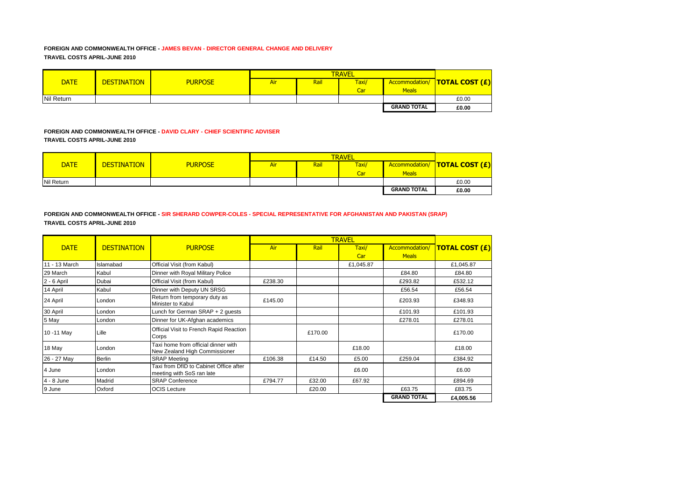## **FOREIGN AND COMMONWEALTH OFFICE - JAMES BEVAN - DIRECTOR GENERAL CHANGE AND DELIVERY TRAVEL COSTS APRIL-JUNE 2010**

|             |                    |                |     | <b>TRAVEL</b> |                  |                    |                                 |  |
|-------------|--------------------|----------------|-----|---------------|------------------|--------------------|---------------------------------|--|
| <b>DATE</b> | <b>DESTINATION</b> | <b>PURPOSE</b> | Air | Rail          | Taxi/            |                    | Accommodation/   TOTAL COST (£) |  |
|             |                    |                |     |               | Car <sup>1</sup> | <b>Meals</b>       |                                 |  |
| Nil Return  |                    |                |     |               |                  |                    | £0.00                           |  |
|             |                    |                |     |               |                  | <b>GRAND TOTAL</b> | £0.00                           |  |

## **FOREIGN AND COMMONWEALTH OFFICE - DAVID CLARY - CHIEF SCIENTIFIC ADVISER TRAVEL COSTS APRIL-JUNE 2010**

| <b>DATE</b>       | <b>DESTINATION</b> | <b>PURPOSE</b> | <b>Air</b> | Rail | Taxi/ |                    | Accommodation/   TOTAL COST (£) |
|-------------------|--------------------|----------------|------------|------|-------|--------------------|---------------------------------|
|                   |                    |                |            |      | Car   | <b>Meals</b>       |                                 |
| <b>Nil Return</b> |                    |                |            |      |       |                    | £0.00                           |
|                   |                    |                |            |      |       | <b>GRAND TOTAL</b> | £0.00                           |

**FOREIGN AND COMMONWEALTH OFFICE - SIR SHERARD COWPER-COLES - SPECIAL REPRESENTATIVE FOR AFGHANISTAN AND PAKISTAN (SRAP) TRAVEL COSTS APRIL-JUNE 2010**

|               |                    |                                                                      |         |         | <b>TRAVEL</b> |                    |                       |
|---------------|--------------------|----------------------------------------------------------------------|---------|---------|---------------|--------------------|-----------------------|
| <b>DATE</b>   | <b>DESTINATION</b> | <b>PURPOSE</b>                                                       | Air     | Rail    | Taxi/         | Accommodation/     | <b>TOTAL COST (£)</b> |
|               |                    |                                                                      |         |         | Car           | <b>Meals</b>       |                       |
| 11 - 13 March | Islamabad          | Official Visit (from Kabul)                                          |         |         | £1,045.87     |                    | £1,045.87             |
| 29 March      | Kabul              | Dinner with Royal Military Police                                    |         |         |               | £84.80             | £84.80                |
| 2 - 6 April   | Dubai              | Official Visit (from Kabul)                                          | £238.30 |         |               | £293.82            | £532.12               |
| 14 April      | Kabul              | Dinner with Deputy UN SRSG                                           |         |         |               | £56.54             | £56.54                |
| 24 April      | London             | Return from temporary duty as<br>Minister to Kabul                   | £145.00 |         |               | £203.93            | £348.93               |
| 30 April      | London             | Lunch for German SRAP + 2 quests                                     |         |         |               | £101.93            | £101.93               |
| 5 May         | London             | Dinner for UK-Afghan academics                                       |         |         |               | £278.01            | £278.01               |
| 10 - 11 May   | Lille              | Official Visit to French Rapid Reaction<br>Corps                     |         | £170.00 |               |                    | £170.00               |
| 18 May        | London             | Taxi home from official dinner with<br>New Zealand High Commissioner |         |         | £18.00        |                    | £18.00                |
| 26 - 27 May   | <b>Berlin</b>      | <b>SRAP Meeting</b>                                                  | £106.38 | £14.50  | £5.00         | £259.04            | £384.92               |
| 4 June        | London             | Taxi from DfID to Cabinet Office after<br>meeting with SoS ran late  |         |         | £6.00         |                    | £6.00                 |
| $4 - 8$ June  | Madrid             | <b>SRAP Conference</b>                                               | £794.77 | £32.00  | £67.92        |                    | £894.69               |
| 9 June        | Oxford             | <b>OCIS Lecture</b>                                                  |         | £20.00  |               | £63.75             | £83.75                |
|               |                    |                                                                      |         |         |               | <b>GRAND TOTAL</b> | £4,005.56             |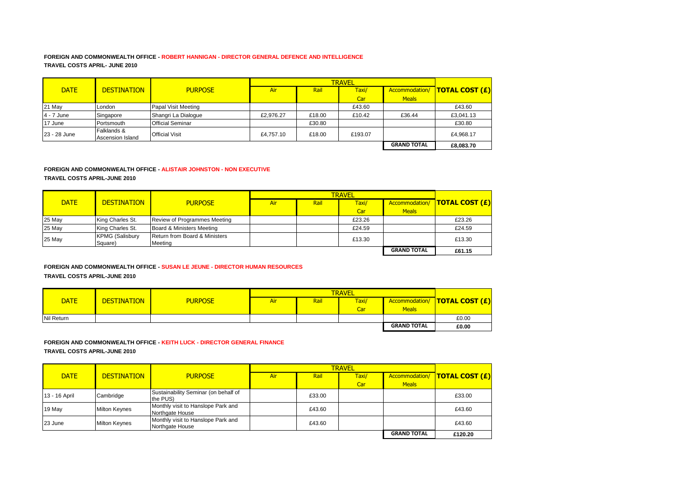### **FOREIGN AND COMMONWEALTH OFFICE - ROBERT HANNIGAN - DIRECTOR GENERAL DEFENCE AND INTELLIGENCE TRAVEL COSTS APRIL- JUNE 2010**

|              |                                 |                         |            | <b>TRAVEL</b> |         |                    |                                 |  |
|--------------|---------------------------------|-------------------------|------------|---------------|---------|--------------------|---------------------------------|--|
| <b>DATE</b>  | <b>DESTINATION</b>              | <b>PURPOSE</b>          | <b>Air</b> | Rail          | Taxi/   | Accommodation/     | $\overline{I}$ TOTAL COST $(E)$ |  |
|              |                                 |                         |            |               | Car     | <b>Meals</b>       |                                 |  |
| 21 May       | London                          | Papal Visit Meeting     |            |               | £43.60  |                    | £43.60                          |  |
| $4 - 7$ June | Singapore                       | Shangri La Dialogue     | £2.976.27  | £18.00        | £10.42  | £36.44             | £3.041.13                       |  |
| 17 June      | Portsmouth                      | <b>Official Seminar</b> |            | £30.80        |         |                    | £30.80                          |  |
| 23 - 28 June | Falklands &<br>Ascension Island | <b>Official Visit</b>   | £4.757.10  | £18.00        | £193.07 |                    | £4.968.17                       |  |
|              |                                 |                         |            |               |         | <b>GRAND TOTAL</b> | £8,083.70                       |  |

# **FOREIGN AND COMMONWEALTH OFFICE - ALISTAIR JOHNSTON - NON EXECUTIVE**

**TRAVEL COSTS APRIL-JUNE 2010**

| <b>DATE</b> | <b>DESTINATION</b>                | <b>PURPOSE</b>                           | Air | Rail | Taxi/  |                    | Accommodation/   TOTAL COST (£) |
|-------------|-----------------------------------|------------------------------------------|-----|------|--------|--------------------|---------------------------------|
|             |                                   |                                          |     |      | Car    | <b>Meals</b>       |                                 |
| 25 May      | King Charles St.                  | Review of Programmes Meeting             |     |      | £23.26 |                    | £23.26                          |
| 25 May      | King Charles St.                  | Board & Ministers Meeting                |     |      | £24.59 |                    | £24.59                          |
| 25 May      | <b>KPMG (Salisbury</b><br>Square) | Return from Board & Ministers<br>Meeting |     |      | £13.30 |                    | £13.30                          |
|             |                                   |                                          |     |      |        | <b>GRAND TOTAL</b> | £61.15                          |

## **FOREIGN AND COMMONWEALTH OFFICE - SUSAN LE JEUNE - DIRECTOR HUMAN RESOURCES TRAVEL COSTS APRIL-JUNE 2010**

|                   |                    |                |     | <b>TRAVEL</b> |       |                    |                         |  |
|-------------------|--------------------|----------------|-----|---------------|-------|--------------------|-------------------------|--|
| <b>DATE</b>       | <b>DESTINATION</b> | <b>PURPOSE</b> | Air | Rai           | Taxi/ | Accommodation/     | <u>  TOTAL COST (£)</u> |  |
|                   |                    |                |     |               | Car   | <b>Meals</b>       |                         |  |
| <b>Nil Return</b> |                    |                |     |               |       |                    | £0.00                   |  |
|                   |                    |                |     |               |       | <b>GRAND TOTAL</b> | £0.00                   |  |

# **FOREIGN AND COMMONWEALTH OFFICE - KEITH LUCK - DIRECTOR GENERAL FINANCE TRAVEL COSTS APRIL-JUNE 2010**

|               |                      |                                                       | <b>TRAVEL</b> |        |       |                    |                                      |
|---------------|----------------------|-------------------------------------------------------|---------------|--------|-------|--------------------|--------------------------------------|
| <b>DATE</b>   | <b>DESTINATION</b>   | <b>PURPOSE</b>                                        | Air           | Rail   | Taxi/ |                    | Accommodation/ <b>TOTAL COST (£)</b> |
|               |                      |                                                       |               |        | Car   | <b>Meals</b>       |                                      |
| 13 - 16 April | Cambridge            | Sustainability Seminar (on behalf of<br>the PUS)      |               | £33.00 |       |                    | £33.00                               |
| 19 May        | <b>Milton Keynes</b> | Monthly visit to Hanslope Park and<br>Northgate House |               | £43.60 |       |                    | £43.60                               |
| 23 June       | <b>Milton Keynes</b> | Monthly visit to Hanslope Park and<br>Northgate House |               | £43.60 |       |                    | £43.60                               |
|               |                      |                                                       |               |        |       | <b>GRAND TOTAL</b> | £120.20                              |